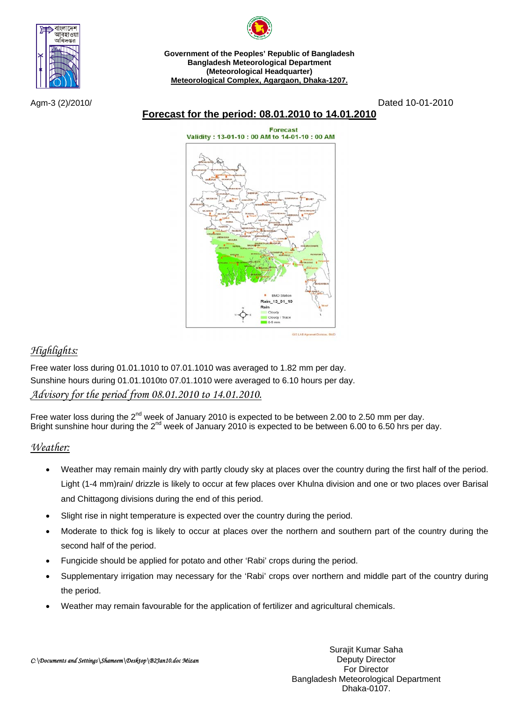



**Government of the Peoples' Republic of Bangladesh Bangladesh Meteorological Department (Meteorological Headquarter) Meteorological Complex, Agargaon, Dhaka-1207.**

Agm-3 (2)/2010/ Dated 10-01-2010

# **Forecast for the period: 08.01.2010 to 14.01.2010**

**Forecast** Validity: 13-01-10: 00 AM to 14-01-10: 00 AM



## *Highlights:*

Free water loss during 01.01.1010 to 07.01.1010 was averaged to 1.82 mm per day. Sunshine hours during 01.01.1010to 07.01.1010 were averaged to 6.10 hours per day. *Advisory for the period from 08.01.2010 to 14.01.2010.*

Free water loss during the  $2^{nd}$  week of January 2010 is expected to be between 2.00 to 2.50 mm per day. Bright sunshine hour during the 2<sup>nd</sup> week of January 2010 is expected to be between 6.00 to 6.50 hrs per day.

## *Weather:*

- Weather may remain mainly dry with partly cloudy sky at places over the country during the first half of the period. Light (1-4 mm)rain/ drizzle is likely to occur at few places over Khulna division and one or two places over Barisal and Chittagong divisions during the end of this period.
- Slight rise in night temperature is expected over the country during the period.
- Moderate to thick fog is likely to occur at places over the northern and southern part of the country during the second half of the period.
- Fungicide should be applied for potato and other 'Rabi' crops during the period.
- Supplementary irrigation may necessary for the 'Rabi' crops over northern and middle part of the country during the period.
- Weather may remain favourable for the application of fertilizer and agricultural chemicals.

Surajit Kumar Saha Deputy Director For Director Bangladesh Meteorological Department Dhaka-0107.

*C:\Documents and Settings\Shameem\Desktop\B2Jan10.doc Mizan*